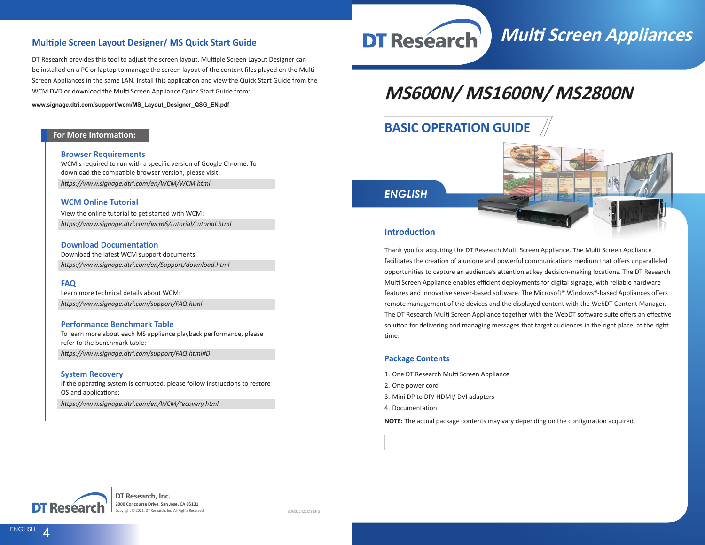### **Mul�ple Screen Layout Designer/ MS Quick Start Guide**

DT Research provides this tool to adjust the screen layout. Multiple Screen Layout Designer can be installed on a PC or laptop to manage the screen layout of the content files played on the Multi Screen Appliances in the same LAN. Install this application and view the Quick Start Guide from the WCM DVD or download the Multi Screen Appliance Quick Start Guide from:

**www.signage.dtri.com/support/wcm/MS\_Layout\_Designer\_QSG\_EN.pdf**

### **For More Information:**

### **Browser Requirements**

WCMis required to run with a specific version of Google Chrome. To download the compatible browser version, please visit: *https://www.signage.dtri.com/en/WCM/WCM.html*

### **WCM Online Tutorial**

View the online tutorial to get started with WCM: *https://www.signage.dtri.com/wcm6/tutorial/tutorial.html*

### **Download Documentation**

Download the latest WCM support documents: *https://www.signage.dtri.com/en/Support/download.html*

### **FAQ**

Learn more technical details about WCM: *https://www.signage.dtri.com/support/FAQ.html*

### **Performance Benchmark Table**

To learn more about each MS appliance playback performance, please refer to the benchmark table: *https://www.signage.dtri.com/support/FAQ.html#D*

### **System Recovery**

If the operating system is corrupted, please follow instructions to restore OS and applications:

*https://www.signage.dtri.com/en/WCM/recovery.html*



# **Mul� Screen Appliances**

# **MS600N/ MS1600N/ MS2800N**

## **BASIC OPERATION GUIDE**





### **Introduction**

Thank you for acquiring the DT Research Multi Screen Appliance. The Multi Screen Appliance facilitates the creation of a unique and powerful communications medium that offers unparalleled opportunities to capture an audience's attention at key decision-making locations. The DT Research Multi Screen Appliance enables efficient deployments for digital signage, with reliable hardware features and innovative server-based software. The Microsoft® Windows®-based Appliances offers remote management of the devices and the displayed content with the WebDT Content Manager. The DT Research Multi Screen Appliance together with the WebDT software suite offers an effective solution for delivering and managing messages that target audiences in the right place, at the right time.

### **Package Contents**

- 1. One DT Research Multi Screen Appliance
- 2. One power cord
- 3. Mini DP to DP/ HDMI/ DVI adapters
- 4. Documentation

NOTE: The actual package contents may vary depending on the configuration acquired.



**signage dtri com**

**ENGLISH**